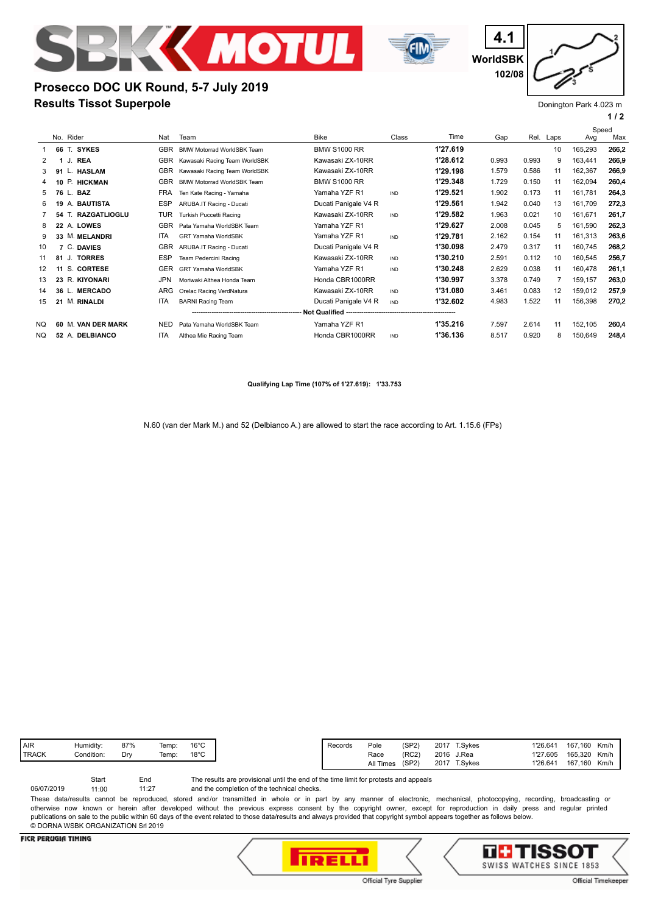

**Results Tissot Superpole**

**Prosecco DOC UK Round, 5-7 July 2019**



**WorldSBK 4.1 102/08**

# Donington Park 4.023 m

**1 / 2**

|     |                              |            |                                   |                      |            |          |       |       |      | Speed   |       |
|-----|------------------------------|------------|-----------------------------------|----------------------|------------|----------|-------|-------|------|---------|-------|
|     | No. Rider                    | Nat        | Team                              | <b>Bike</b>          | Class      | Time     | Gap   | Rel.  | Laps | Avg     | Max   |
|     | 66 T. SYKES                  | GBR        | <b>BMW Motorrad WorldSBK Team</b> | <b>BMW S1000 RR</b>  |            | 1'27.619 |       |       | 10   | 165,293 | 266,2 |
| 2   | <b>REA</b><br>J.             | <b>GBR</b> | Kawasaki Racing Team WorldSBK     | Kawasaki ZX-10RR     |            | 1'28.612 | 0.993 | 0.993 | 9    | 163,441 | 266.9 |
| 3   | <b>HASLAM</b><br>91          | GBR        | Kawasaki Racing Team WorldSBK     | Kawasaki ZX-10RR     |            | 1'29.198 | 1.579 | 0.586 | 11   | 162,367 | 266.9 |
| 4   | P. HICKMAN                   | <b>GBR</b> | <b>BMW Motorrad WorldSBK Team</b> | <b>BMW S1000 RR</b>  |            | 1'29.348 | 1.729 | 0.150 | 11   | 162,094 | 260.4 |
| 5   | 76 L. BAZ                    | <b>FRA</b> | Ten Kate Racing - Yamaha          | Yamaha YZF R1        | <b>IND</b> | 1'29.521 | 1.902 | 0.173 | 11   | 161,781 | 264.3 |
| 6   | A. BAUTISTA<br>19            | <b>ESP</b> | ARUBA.IT Racing - Ducati          | Ducati Panigale V4 R |            | 1'29.561 | 1.942 | 0.040 | 13   | 161,709 | 272.3 |
|     | T. RAZGATLIOGLU<br>54        | TUR        | Turkish Puccetti Racing           | Kawasaki ZX-10RR     | <b>IND</b> | 1'29.582 | 1.963 | 0.021 | 10   | 161,671 | 261,7 |
| 8   | 22 A. LOWES                  | <b>GBR</b> | Pata Yamaha WorldSBK Team         | Yamaha YZF R1        |            | 1'29.627 | 2.008 | 0.045 | 5    | 161,590 | 262.3 |
| 9   | 33 M. MELANDRI               | <b>ITA</b> | <b>GRT Yamaha WorldSBK</b>        | Yamaha YZF R1        | <b>IND</b> | 1'29.781 | 2.162 | 0.154 | 11   | 161,313 | 263.6 |
| 10  | C. DAVIES                    | <b>GBR</b> | ARUBA.IT Racing - Ducati          | Ducati Panigale V4 R |            | 1'30.098 | 2.479 | 0.317 | 11   | 160.745 | 268.2 |
| 11  | <b>TORRES</b><br>81 J.       | ESP        | Team Pedercini Racing             | Kawasaki ZX-10RR     | <b>IND</b> | 1'30.210 | 2.591 | 0.112 | 10   | 160,545 | 256,7 |
| 12  | S. CORTESE<br>11             | <b>GER</b> | <b>GRT Yamaha WorldSBK</b>        | Yamaha YZF R1        | <b>IND</b> | 1'30.248 | 2.629 | 0.038 | 11   | 160,478 | 261,1 |
| 13  | 23 R. KIYONARI               | <b>JPN</b> | Moriwaki Althea Honda Team        | Honda CBR1000RR      |            | 1'30.997 | 3.378 | 0.749 | 7    | 159,157 | 263,0 |
| 14  | 36 L. MERCADO                | ARG        | Orelac Racing VerdNatura          | Kawasaki ZX-10RR     | <b>IND</b> | 1'31.080 | 3.461 | 0.083 | 12   | 159,012 | 257,9 |
| 15  | <b>M. RINALDI</b><br>21      | <b>ITA</b> | <b>BARNI Racing Team</b>          | Ducati Panigale V4 R | <b>IND</b> | 1'32.602 | 4.983 | 1.522 | 11   | 156,398 | 270,2 |
|     |                              |            |                                   |                      |            |          |       |       |      |         |       |
| NQ. | <b>M. VAN DER MARK</b><br>60 | <b>NED</b> | Pata Yamaha WorldSBK Team         | Yamaha YZF R1        |            | 1'35.216 | 7.597 | 2.614 | 11   | 152,105 | 260.4 |
| NQ. | 52 A. DELBIANCO              | ITA        | Althea Mie Racing Team            | Honda CBR1000RR      | <b>IND</b> | 1'36.136 | 8.517 | 0.920 | 8    | 150,649 | 248,4 |
|     |                              |            |                                   |                      |            |          |       |       |      |         |       |

**Qualifying Lap Time (107% of 1'27.619): 1'33.753**

N.60 (van der Mark M.) and 52 (Delbianco A.) are allowed to start the race according to Art. 1.15.6 (FPs)

The results are provisional until the end of the time limit for protests and appeals Start End

and the completion of the technical checks. 11:27 06/07/2019 11:00

These data/results cannot be reproduced, stored and/or transmitted in whole or in part by any manner of electronic, mechanical, photocopying, recording, broadcasting or otherwise now known or herein after developed without the previous express consent by the copyright owner, except for reproduction in daily press and regular printed publications on sale to the public within 60 days of the event related to those data/results and always provided that copyright symbol appears together as follows below. © DORNA WSBK ORGANIZATION Srl 2019

### **FICR PERUGIA TIMING**